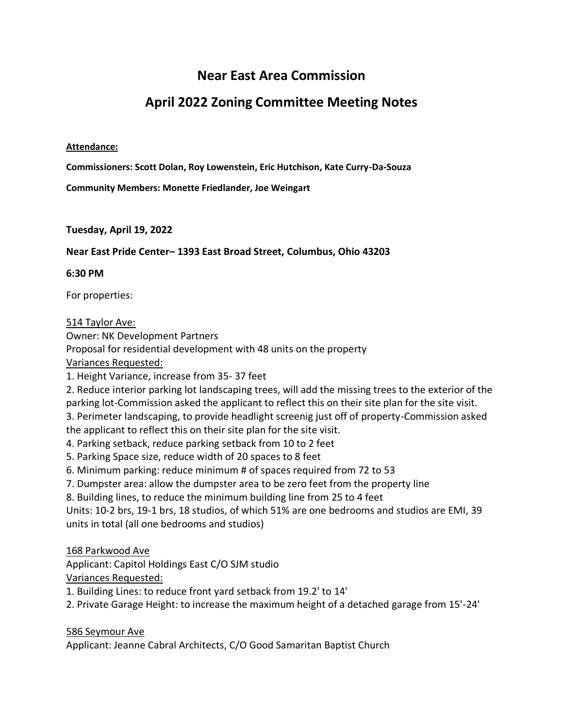# **Near East Area Commission**

# **April 2022 Zoning Committee Meeting Notes**

#### **Attendance:**

**Commissioners: Scott Dolan, Roy Lowenstein, Eric Hutchison, Kate Curry-Da-Souza**

**Community Members: Monette Friedlander, Joe Weingart**

## **Tuesday, April 19, 2022**

## **Near East Pride Center– 1393 East Broad Street, Columbus, Ohio 43203**

#### **6:30 PM**

For properties:

#### 514 Taylor Ave:

Owner: NK Development Partners

Proposal for residential development with 48 units on the property

Variances Requested:

1. Height Variance, increase from 35- 37 feet

2. Reduce interior parking lot landscaping trees, will add the missing trees to the exterior of the parking lot-Commission asked the applicant to reflect this on their site plan for the site visit.

3. Perimeter landscaping, to provide headlight screenig just off of property-Commission asked the applicant to reflect this on their site plan for the site visit.

4. Parking setback, reduce parking setback from 10 to 2 feet

5. Parking Space size, reduce width of 20 spaces to 8 feet

6. Minimum parking: reduce minimum # of spaces required from 72 to 53

7. Dumpster area: allow the dumpster area to be zero feet from the property line

8. Building lines, to reduce the minimum building line from 25 to 4 feet

Units: 10-2 brs, 19-1 brs, 18 studios, of which 51% are one bedrooms and studios are EMI, 39 units in total (all one bedrooms and studios)

## 168 Parkwood Ave

Applicant: Capitol Holdings East C/O SJM studio

Variances Requested:

1. Building Lines: to reduce front yard setback from 19.2' to 14'

2. Private Garage Height: to increase the maximum height of a detached garage from 15'-24'

586 Seymour Ave

Applicant: Jeanne Cabral Architects, C/O Good Samaritan Baptist Church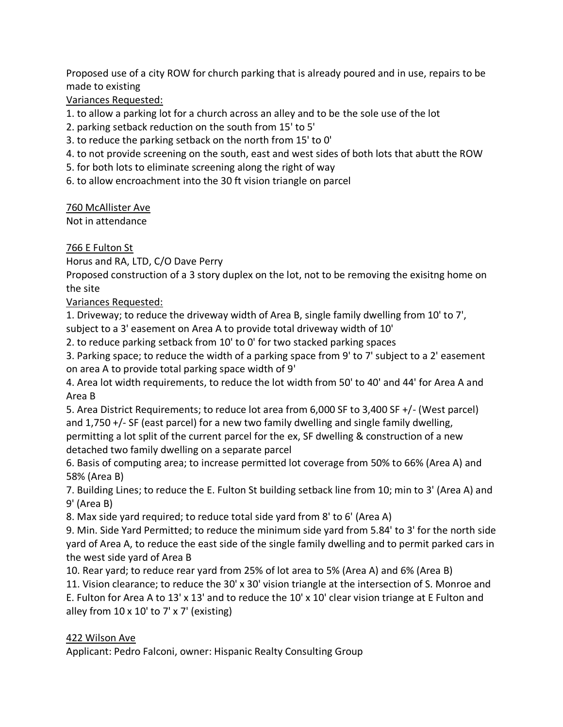Proposed use of a city ROW for church parking that is already poured and in use, repairs to be made to existing

Variances Requested:

1. to allow a parking lot for a church across an alley and to be the sole use of the lot

- 2. parking setback reduction on the south from 15' to 5'
- 3. to reduce the parking setback on the north from 15' to 0'
- 4. to not provide screening on the south, east and west sides of both lots that abutt the ROW
- 5. for both lots to eliminate screening along the right of way
- 6. to allow encroachment into the 30 ft vision triangle on parcel

760 McAllister Ave

Not in attendance

766 E Fulton St

Horus and RA, LTD, C/O Dave Perry

Proposed construction of a 3 story duplex on the lot, not to be removing the exisitng home on the site

Variances Requested:

1. Driveway; to reduce the driveway width of Area B, single family dwelling from 10' to 7',

subject to a 3' easement on Area A to provide total driveway width of 10'

2. to reduce parking setback from 10' to 0' for two stacked parking spaces

3. Parking space; to reduce the width of a parking space from 9' to 7' subject to a 2' easement on area A to provide total parking space width of 9'

4. Area lot width requirements, to reduce the lot width from 50' to 40' and 44' for Area A and Area B

5. Area District Requirements; to reduce lot area from 6,000 SF to 3,400 SF +/- (West parcel) and 1,750 +/- SF (east parcel) for a new two family dwelling and single family dwelling, permitting a lot split of the current parcel for the ex, SF dwelling & construction of a new detached two family dwelling on a separate parcel

6. Basis of computing area; to increase permitted lot coverage from 50% to 66% (Area A) and 58% (Area B)

7. Building Lines; to reduce the E. Fulton St building setback line from 10; min to 3' (Area A) and 9' (Area B)

8. Max side yard required; to reduce total side yard from 8' to 6' (Area A)

9. Min. Side Yard Permitted; to reduce the minimum side yard from 5.84' to 3' for the north side yard of Area A, to reduce the east side of the single family dwelling and to permit parked cars in the west side yard of Area B

10. Rear yard; to reduce rear yard from 25% of lot area to 5% (Area A) and 6% (Area B)

11. Vision clearance; to reduce the 30' x 30' vision triangle at the intersection of S. Monroe and E. Fulton for Area A to 13' x 13' and to reduce the 10' x 10' clear vision triange at E Fulton and alley from  $10 \times 10'$  to  $7' \times 7'$  (existing)

# 422 Wilson Ave

Applicant: Pedro Falconi, owner: Hispanic Realty Consulting Group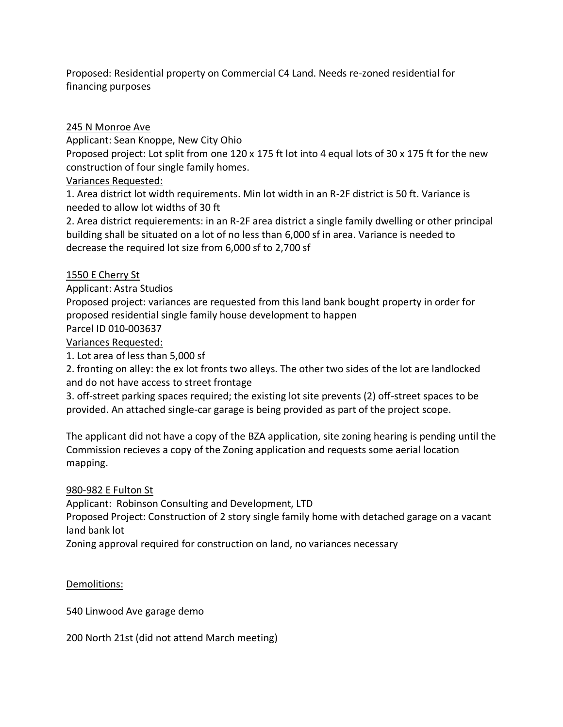Proposed: Residential property on Commercial C4 Land. Needs re-zoned residential for financing purposes

245 N Monroe Ave

Applicant: Sean Knoppe, New City Ohio

Proposed project: Lot split from one 120 x 175 ft lot into 4 equal lots of 30 x 175 ft for the new construction of four single family homes.

Variances Requested:

1. Area district lot width requirements. Min lot width in an R-2F district is 50 ft. Variance is needed to allow lot widths of 30 ft

2. Area district requierements: in an R-2F area district a single family dwelling or other principal building shall be situated on a lot of no less than 6,000 sf in area. Variance is needed to decrease the required lot size from 6,000 sf to 2,700 sf

1550 E Cherry St

Applicant: Astra Studios

Proposed project: variances are requested from this land bank bought property in order for proposed residential single family house development to happen

Parcel ID 010-003637

Variances Requested:

1. Lot area of less than 5,000 sf

2. fronting on alley: the ex lot fronts two alleys. The other two sides of the lot are landlocked and do not have access to street frontage

3. off-street parking spaces required; the existing lot site prevents (2) off-street spaces to be provided. An attached single-car garage is being provided as part of the project scope.

The applicant did not have a copy of the BZA application, site zoning hearing is pending until the Commission recieves a copy of the Zoning application and requests some aerial location mapping.

# 980-982 E Fulton St

Applicant: Robinson Consulting and Development, LTD

Proposed Project: Construction of 2 story single family home with detached garage on a vacant land bank lot

Zoning approval required for construction on land, no variances necessary

Demolitions:

540 Linwood Ave garage demo

200 North 21st (did not attend March meeting)